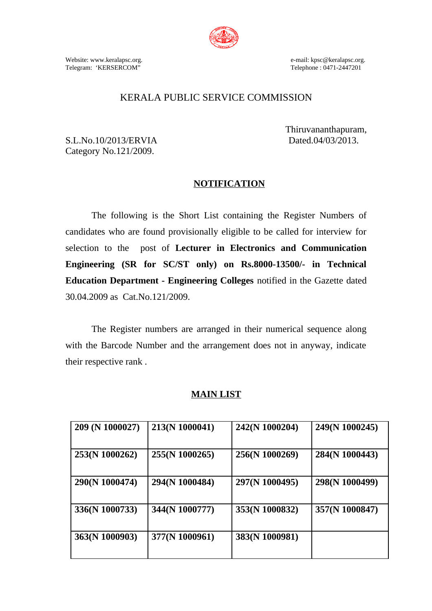

Website: www.keralapsc.org. e-mail: kpsc@keralapsc.org. Telegram: 'KERSERCOM"

# KERALA PUBLIC SERVICE COMMISSION

S.L.No.10/2013/ERVIA Dated.04/03/2013. Category No.121/2009.

Thiruvananthapuram,

# **NOTIFICATION**

The following is the Short List containing the Register Numbers of candidates who are found provisionally eligible to be called for interview for selection to the post of **Lecturer in Electronics and Communication Engineering (SR for SC/ST only) on Rs.8000-13500/- in Technical Education Department - Engineering Colleges** notified in the Gazette dated 30.04.2009 as Cat.No.121/2009.

The Register numbers are arranged in their numerical sequence along with the Barcode Number and the arrangement does not in anyway, indicate their respective rank .

### **MAIN LIST**

| 209 (N 1000027) | 213(N 1000041) | 242(N 1000204) | 249(N 1000245) |
|-----------------|----------------|----------------|----------------|
| 253(N 1000262)  | 255(N 1000265) | 256(N 1000269) | 284(N 1000443) |
| 290(N 1000474)  | 294(N 1000484) | 297(N 1000495) | 298(N 1000499) |
| 336(N 1000733)  | 344(N 1000777) | 353(N 1000832) | 357(N 1000847) |
| 363(N 1000903)  | 377(N 1000961) | 383(N 1000981) |                |